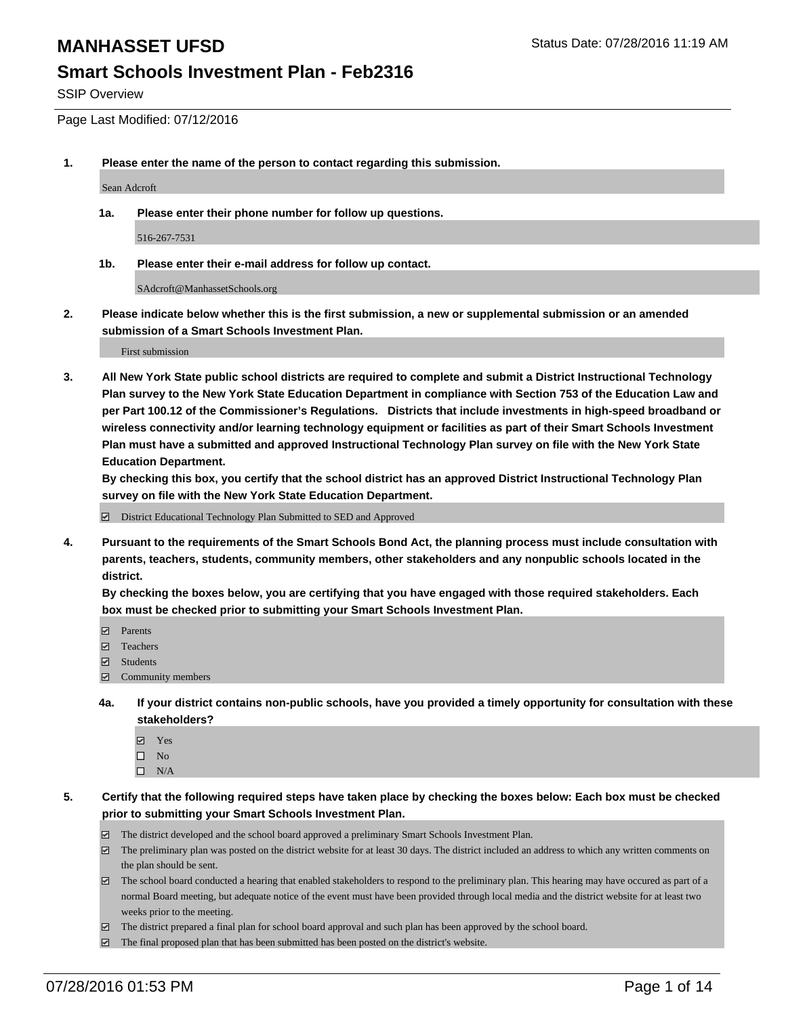## **Smart Schools Investment Plan - Feb2316**

SSIP Overview

Page Last Modified: 07/12/2016

**1. Please enter the name of the person to contact regarding this submission.**

Sean Adcroft

**1a. Please enter their phone number for follow up questions.**

516-267-7531

**1b. Please enter their e-mail address for follow up contact.**

SAdcroft@ManhassetSchools.org

**2. Please indicate below whether this is the first submission, a new or supplemental submission or an amended submission of a Smart Schools Investment Plan.**

First submission

**3. All New York State public school districts are required to complete and submit a District Instructional Technology Plan survey to the New York State Education Department in compliance with Section 753 of the Education Law and per Part 100.12 of the Commissioner's Regulations. Districts that include investments in high-speed broadband or wireless connectivity and/or learning technology equipment or facilities as part of their Smart Schools Investment Plan must have a submitted and approved Instructional Technology Plan survey on file with the New York State Education Department.** 

**By checking this box, you certify that the school district has an approved District Instructional Technology Plan survey on file with the New York State Education Department.**

District Educational Technology Plan Submitted to SED and Approved

**4. Pursuant to the requirements of the Smart Schools Bond Act, the planning process must include consultation with parents, teachers, students, community members, other stakeholders and any nonpublic schools located in the district.** 

**By checking the boxes below, you are certifying that you have engaged with those required stakeholders. Each box must be checked prior to submitting your Smart Schools Investment Plan.**

- **Parents**
- Teachers
- $\blacksquare$  Students
- Community members
- **4a. If your district contains non-public schools, have you provided a timely opportunity for consultation with these stakeholders?**
	- Yes  $\square$  No
	- $\square$  N/A
- **5. Certify that the following required steps have taken place by checking the boxes below: Each box must be checked prior to submitting your Smart Schools Investment Plan.**
	- The district developed and the school board approved a preliminary Smart Schools Investment Plan.
	- $\Box$  The preliminary plan was posted on the district website for at least 30 days. The district included an address to which any written comments on the plan should be sent.
	- $\Box$  The school board conducted a hearing that enabled stakeholders to respond to the preliminary plan. This hearing may have occured as part of a normal Board meeting, but adequate notice of the event must have been provided through local media and the district website for at least two weeks prior to the meeting.
	- The district prepared a final plan for school board approval and such plan has been approved by the school board.
	- $\boxdot$  The final proposed plan that has been submitted has been posted on the district's website.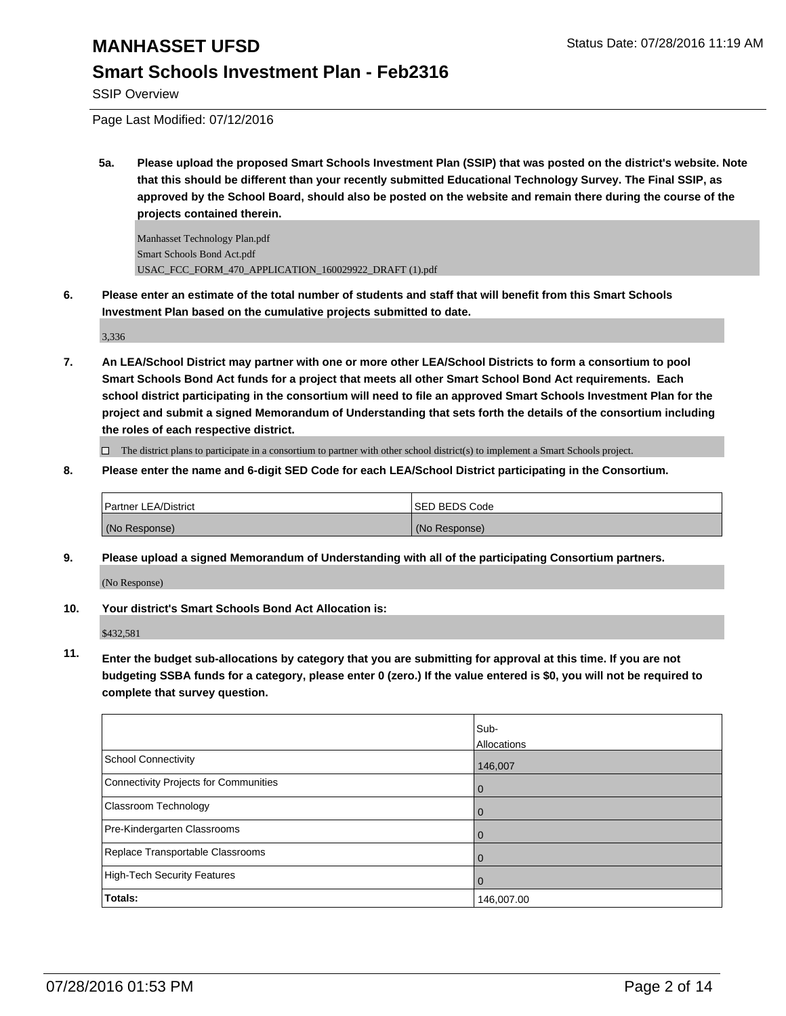## **Smart Schools Investment Plan - Feb2316**

SSIP Overview

Page Last Modified: 07/12/2016

**5a. Please upload the proposed Smart Schools Investment Plan (SSIP) that was posted on the district's website. Note that this should be different than your recently submitted Educational Technology Survey. The Final SSIP, as approved by the School Board, should also be posted on the website and remain there during the course of the projects contained therein.**

Manhasset Technology Plan.pdf Smart Schools Bond Act.pdf USAC\_FCC\_FORM\_470\_APPLICATION\_160029922\_DRAFT (1).pdf

**6. Please enter an estimate of the total number of students and staff that will benefit from this Smart Schools Investment Plan based on the cumulative projects submitted to date.**

3,336

**7. An LEA/School District may partner with one or more other LEA/School Districts to form a consortium to pool Smart Schools Bond Act funds for a project that meets all other Smart School Bond Act requirements. Each school district participating in the consortium will need to file an approved Smart Schools Investment Plan for the project and submit a signed Memorandum of Understanding that sets forth the details of the consortium including the roles of each respective district.**

 $\Box$  The district plans to participate in a consortium to partner with other school district(s) to implement a Smart Schools project.

**8. Please enter the name and 6-digit SED Code for each LEA/School District participating in the Consortium.**

| <b>Partner LEA/District</b> | <b>ISED BEDS Code</b> |
|-----------------------------|-----------------------|
| (No Response)               | (No Response)         |

**9. Please upload a signed Memorandum of Understanding with all of the participating Consortium partners.**

(No Response)

**10. Your district's Smart Schools Bond Act Allocation is:**

\$432,581

**11. Enter the budget sub-allocations by category that you are submitting for approval at this time. If you are not budgeting SSBA funds for a category, please enter 0 (zero.) If the value entered is \$0, you will not be required to complete that survey question.**

|                                       | Sub-<br>Allocations |
|---------------------------------------|---------------------|
| School Connectivity                   | 146,007             |
| Connectivity Projects for Communities |                     |
| <b>Classroom Technology</b>           | Û                   |
| Pre-Kindergarten Classrooms           |                     |
| Replace Transportable Classrooms      |                     |
| High-Tech Security Features           |                     |
| <b>Totals:</b>                        | 146,007.00          |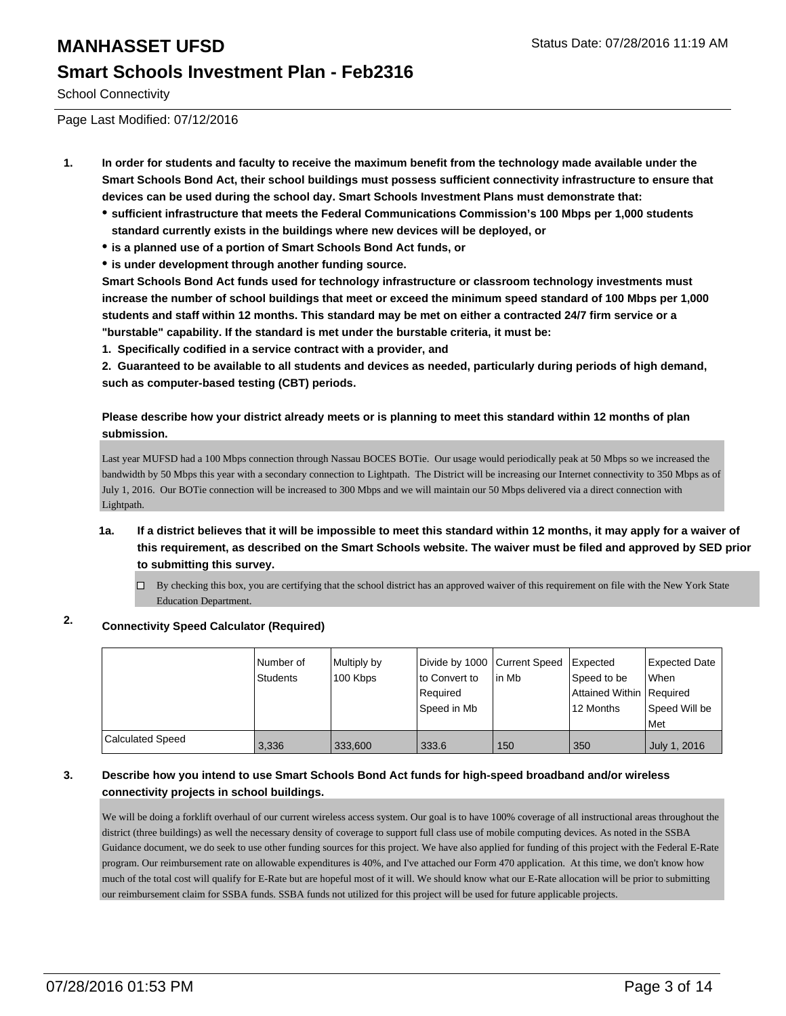#### School Connectivity

Page Last Modified: 07/12/2016

- **1. In order for students and faculty to receive the maximum benefit from the technology made available under the Smart Schools Bond Act, their school buildings must possess sufficient connectivity infrastructure to ensure that devices can be used during the school day. Smart Schools Investment Plans must demonstrate that:**
	- **sufficient infrastructure that meets the Federal Communications Commission's 100 Mbps per 1,000 students standard currently exists in the buildings where new devices will be deployed, or**
	- **is a planned use of a portion of Smart Schools Bond Act funds, or**
	- **is under development through another funding source.**

**Smart Schools Bond Act funds used for technology infrastructure or classroom technology investments must increase the number of school buildings that meet or exceed the minimum speed standard of 100 Mbps per 1,000 students and staff within 12 months. This standard may be met on either a contracted 24/7 firm service or a "burstable" capability. If the standard is met under the burstable criteria, it must be:**

**1. Specifically codified in a service contract with a provider, and**

**2. Guaranteed to be available to all students and devices as needed, particularly during periods of high demand, such as computer-based testing (CBT) periods.**

**Please describe how your district already meets or is planning to meet this standard within 12 months of plan submission.**

Last year MUFSD had a 100 Mbps connection through Nassau BOCES BOTie. Our usage would periodically peak at 50 Mbps so we increased the bandwidth by 50 Mbps this year with a secondary connection to Lightpath. The District will be increasing our Internet connectivity to 350 Mbps as of July 1, 2016. Our BOTie connection will be increased to 300 Mbps and we will maintain our 50 Mbps delivered via a direct connection with Lightpath.

- **1a. If a district believes that it will be impossible to meet this standard within 12 months, it may apply for a waiver of this requirement, as described on the Smart Schools website. The waiver must be filed and approved by SED prior to submitting this survey.**
	- $\Box$  By checking this box, you are certifying that the school district has an approved waiver of this requirement on file with the New York State Education Department.

#### **2. Connectivity Speed Calculator (Required)**

|                  | Number of<br><b>Students</b> | Multiply by<br>100 Kbps | Divide by 1000 Current Speed<br>lto Convert to<br>Required<br>Speed in Mb | in Mb | Expected<br>Speed to be<br>Attained Within   Required<br>12 Months | Expected Date<br>lWhen<br>Speed Will be<br><b>Met</b> |
|------------------|------------------------------|-------------------------|---------------------------------------------------------------------------|-------|--------------------------------------------------------------------|-------------------------------------------------------|
| Calculated Speed | 3,336                        | 333,600                 | 333.6                                                                     | 150   | 350                                                                | July 1, 2016                                          |

#### **3. Describe how you intend to use Smart Schools Bond Act funds for high-speed broadband and/or wireless connectivity projects in school buildings.**

We will be doing a forklift overhaul of our current wireless access system. Our goal is to have 100% coverage of all instructional areas throughout the district (three buildings) as well the necessary density of coverage to support full class use of mobile computing devices. As noted in the SSBA Guidance document, we do seek to use other funding sources for this project. We have also applied for funding of this project with the Federal E-Rate program. Our reimbursement rate on allowable expenditures is 40%, and I've attached our Form 470 application. At this time, we don't know how much of the total cost will qualify for E-Rate but are hopeful most of it will. We should know what our E-Rate allocation will be prior to submitting our reimbursement claim for SSBA funds. SSBA funds not utilized for this project will be used for future applicable projects.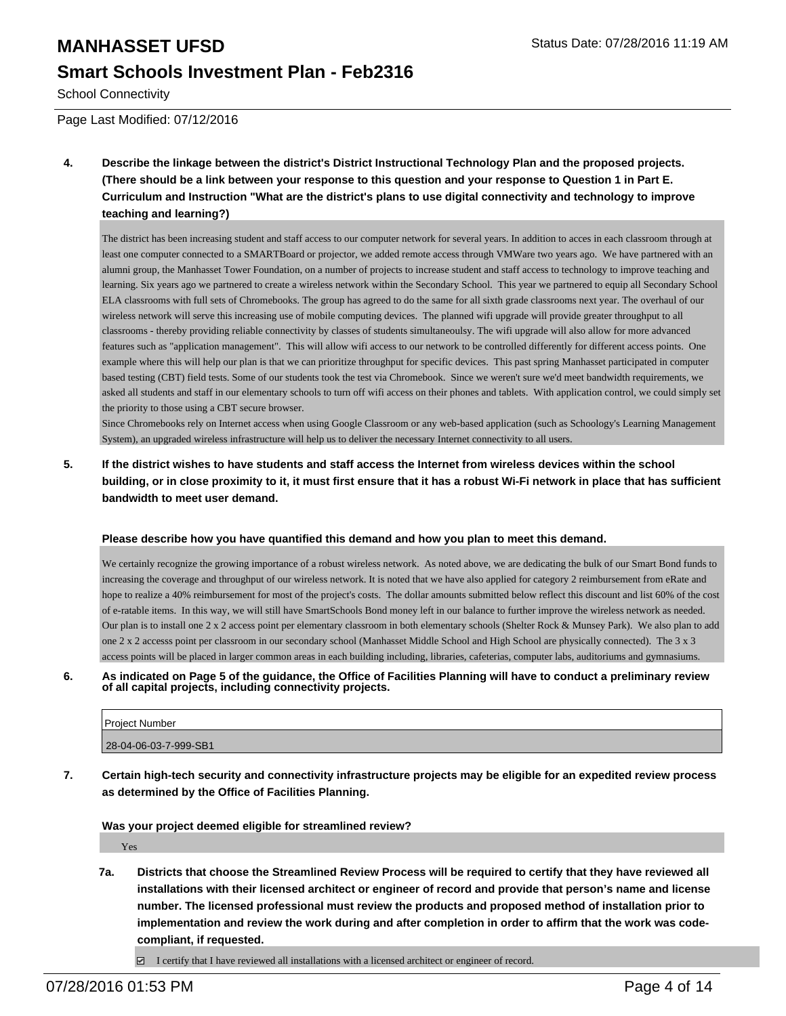School Connectivity

Page Last Modified: 07/12/2016

**4. Describe the linkage between the district's District Instructional Technology Plan and the proposed projects. (There should be a link between your response to this question and your response to Question 1 in Part E. Curriculum and Instruction "What are the district's plans to use digital connectivity and technology to improve teaching and learning?)**

The district has been increasing student and staff access to our computer network for several years. In addition to acces in each classroom through at least one computer connected to a SMARTBoard or projector, we added remote access through VMWare two years ago. We have partnered with an alumni group, the Manhasset Tower Foundation, on a number of projects to increase student and staff access to technology to improve teaching and learning. Six years ago we partnered to create a wireless network within the Secondary School. This year we partnered to equip all Secondary School ELA classrooms with full sets of Chromebooks. The group has agreed to do the same for all sixth grade classrooms next year. The overhaul of our wireless network will serve this increasing use of mobile computing devices. The planned wifi upgrade will provide greater throughput to all classrooms - thereby providing reliable connectivity by classes of students simultaneoulsy. The wifi upgrade will also allow for more advanced features such as "application management". This will allow wifi access to our network to be controlled differently for different access points. One example where this will help our plan is that we can prioritize throughput for specific devices. This past spring Manhasset participated in computer based testing (CBT) field tests. Some of our students took the test via Chromebook. Since we weren't sure we'd meet bandwidth requirements, we asked all students and staff in our elementary schools to turn off wifi access on their phones and tablets. With application control, we could simply set the priority to those using a CBT secure browser.

Since Chromebooks rely on Internet access when using Google Classroom or any web-based application (such as Schoology's Learning Management System), an upgraded wireless infrastructure will help us to deliver the necessary Internet connectivity to all users.

**5. If the district wishes to have students and staff access the Internet from wireless devices within the school building, or in close proximity to it, it must first ensure that it has a robust Wi-Fi network in place that has sufficient bandwidth to meet user demand.**

#### **Please describe how you have quantified this demand and how you plan to meet this demand.**

We certainly recognize the growing importance of a robust wireless network. As noted above, we are dedicating the bulk of our Smart Bond funds to increasing the coverage and throughput of our wireless network. It is noted that we have also applied for category 2 reimbursement from eRate and hope to realize a 40% reimbursement for most of the project's costs. The dollar amounts submitted below reflect this discount and list 60% of the cost of e-ratable items. In this way, we will still have SmartSchools Bond money left in our balance to further improve the wireless network as needed. Our plan is to install one 2 x 2 access point per elementary classroom in both elementary schools (Shelter Rock & Munsey Park). We also plan to add one 2 x 2 accesss point per classroom in our secondary school (Manhasset Middle School and High School are physically connected). The 3 x 3 access points will be placed in larger common areas in each building including, libraries, cafeterias, computer labs, auditoriums and gymnasiums.

**6. As indicated on Page 5 of the guidance, the Office of Facilities Planning will have to conduct a preliminary review of all capital projects, including connectivity projects.**

| <b>Project Number</b> |
|-----------------------|
| 28-04-06-03-7-999-SB1 |
|                       |

**7. Certain high-tech security and connectivity infrastructure projects may be eligible for an expedited review process as determined by the Office of Facilities Planning.**

**Was your project deemed eligible for streamlined review?**

Yes

**7a. Districts that choose the Streamlined Review Process will be required to certify that they have reviewed all installations with their licensed architect or engineer of record and provide that person's name and license number. The licensed professional must review the products and proposed method of installation prior to implementation and review the work during and after completion in order to affirm that the work was codecompliant, if requested.**

 $\Box$  I certify that I have reviewed all installations with a licensed architect or engineer of record.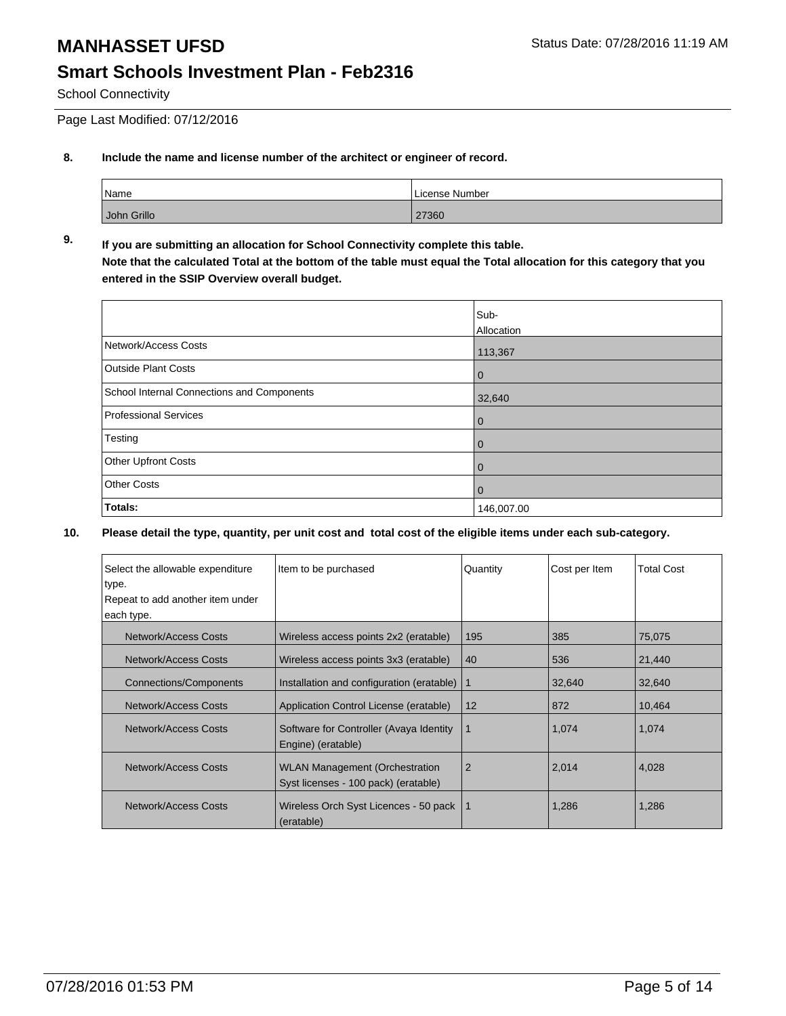School Connectivity

Page Last Modified: 07/12/2016

#### **8. Include the name and license number of the architect or engineer of record.**

| Name        | License Number |
|-------------|----------------|
| John Grillo | 27360          |

#### **9. If you are submitting an allocation for School Connectivity complete this table. Note that the calculated Total at the bottom of the table must equal the Total allocation for this category that you entered in the SSIP Overview overall budget.**

|                                                   | Sub-<br>Allocation |
|---------------------------------------------------|--------------------|
| Network/Access Costs                              | 113,367            |
| <b>Outside Plant Costs</b>                        | $\bf{0}$           |
| <b>School Internal Connections and Components</b> | 32,640             |
| Professional Services                             | 0                  |
| Testing                                           | 0                  |
| Other Upfront Costs                               | 0                  |
| <b>Other Costs</b>                                | 0                  |
| Totals:                                           | 146,007.00         |

| Select the allowable expenditure                                            | Item to be purchased                                                          | Quantity       | Cost per Item | <b>Total Cost</b> |
|-----------------------------------------------------------------------------|-------------------------------------------------------------------------------|----------------|---------------|-------------------|
| type.                                                                       |                                                                               |                |               |                   |
| Repeat to add another item under                                            |                                                                               |                |               |                   |
| each type.                                                                  |                                                                               |                |               |                   |
| Network/Access Costs                                                        | Wireless access points 2x2 (eratable)                                         | 195            | 385           | 75,075            |
| <b>Network/Access Costs</b>                                                 | Wireless access points 3x3 (eratable)                                         | 40             | 536           | 21,440            |
| <b>Connections/Components</b>                                               | Installation and configuration (eratable)                                     |                | 32,640        | 32,640            |
| Network/Access Costs                                                        | Application Control License (eratable)                                        | 12             | 872           | 10,464            |
| Network/Access Costs                                                        | Software for Controller (Avaya Identity<br>Engine) (eratable)                 | 1              | 1,074         | 1,074             |
| Network/Access Costs                                                        | <b>WLAN Management (Orchestration</b><br>Syst licenses - 100 pack) (eratable) | $\overline{2}$ | 2,014         | 4,028             |
| Network/Access Costs<br>Wireless Orch Syst Licences - 50 pack<br>(eratable) |                                                                               |                | 1,286         | 1,286             |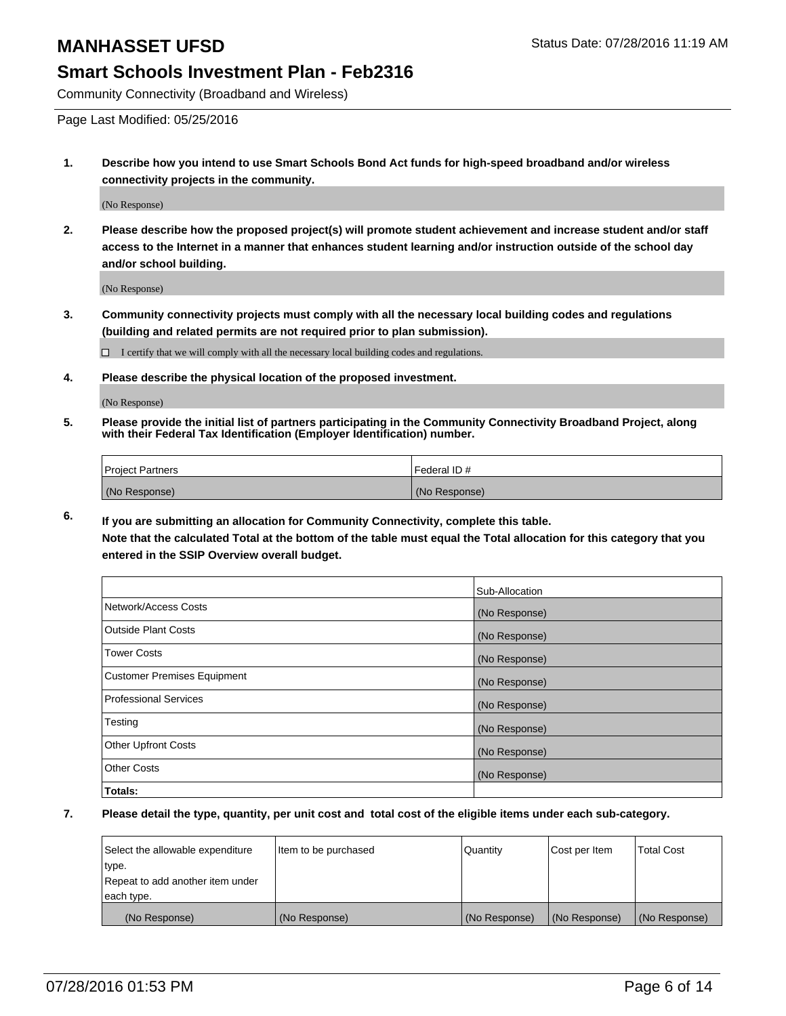## **Smart Schools Investment Plan - Feb2316**

Community Connectivity (Broadband and Wireless)

Page Last Modified: 05/25/2016

**1. Describe how you intend to use Smart Schools Bond Act funds for high-speed broadband and/or wireless connectivity projects in the community.**

(No Response)

**2. Please describe how the proposed project(s) will promote student achievement and increase student and/or staff access to the Internet in a manner that enhances student learning and/or instruction outside of the school day and/or school building.**

(No Response)

**3. Community connectivity projects must comply with all the necessary local building codes and regulations (building and related permits are not required prior to plan submission).**

 $\Box$  I certify that we will comply with all the necessary local building codes and regulations.

**4. Please describe the physical location of the proposed investment.**

(No Response)

**5. Please provide the initial list of partners participating in the Community Connectivity Broadband Project, along with their Federal Tax Identification (Employer Identification) number.**

| Project Partners | <b>IFederal ID#</b> |
|------------------|---------------------|
| (No Response)    | (No Response)       |

**6. If you are submitting an allocation for Community Connectivity, complete this table. Note that the calculated Total at the bottom of the table must equal the Total allocation for this category that you**

**entered in the SSIP Overview overall budget.**

|                             | Sub-Allocation |
|-----------------------------|----------------|
| Network/Access Costs        | (No Response)  |
| <b>Outside Plant Costs</b>  | (No Response)  |
| Tower Costs                 | (No Response)  |
| Customer Premises Equipment | (No Response)  |
| Professional Services       | (No Response)  |
| Testing                     | (No Response)  |
| <b>Other Upfront Costs</b>  | (No Response)  |
| Other Costs                 | (No Response)  |
| Totals:                     |                |

| Select the allowable expenditure | Item to be purchased | Quantity      | Cost per Item | <b>Total Cost</b> |
|----------------------------------|----------------------|---------------|---------------|-------------------|
| type.                            |                      |               |               |                   |
| Repeat to add another item under |                      |               |               |                   |
| each type.                       |                      |               |               |                   |
| (No Response)                    | (No Response)        | (No Response) | (No Response) | (No Response)     |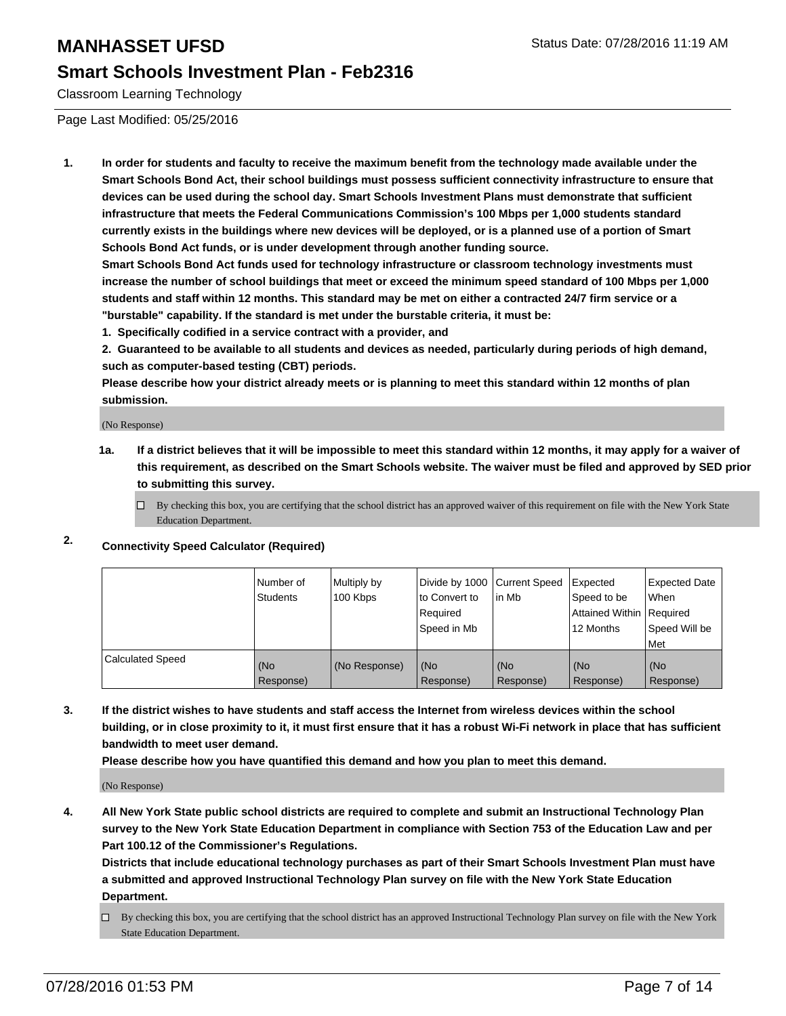## **Smart Schools Investment Plan - Feb2316**

Classroom Learning Technology

Page Last Modified: 05/25/2016

**1. In order for students and faculty to receive the maximum benefit from the technology made available under the Smart Schools Bond Act, their school buildings must possess sufficient connectivity infrastructure to ensure that devices can be used during the school day. Smart Schools Investment Plans must demonstrate that sufficient infrastructure that meets the Federal Communications Commission's 100 Mbps per 1,000 students standard currently exists in the buildings where new devices will be deployed, or is a planned use of a portion of Smart Schools Bond Act funds, or is under development through another funding source.**

**Smart Schools Bond Act funds used for technology infrastructure or classroom technology investments must increase the number of school buildings that meet or exceed the minimum speed standard of 100 Mbps per 1,000 students and staff within 12 months. This standard may be met on either a contracted 24/7 firm service or a "burstable" capability. If the standard is met under the burstable criteria, it must be:**

**1. Specifically codified in a service contract with a provider, and**

**2. Guaranteed to be available to all students and devices as needed, particularly during periods of high demand, such as computer-based testing (CBT) periods.**

**Please describe how your district already meets or is planning to meet this standard within 12 months of plan submission.**

(No Response)

- **1a. If a district believes that it will be impossible to meet this standard within 12 months, it may apply for a waiver of this requirement, as described on the Smart Schools website. The waiver must be filed and approved by SED prior to submitting this survey.**
	- $\Box$  By checking this box, you are certifying that the school district has an approved waiver of this requirement on file with the New York State Education Department.

## **2. Connectivity Speed Calculator (Required)**

|                         | l Number of<br><b>Students</b> | Multiply by<br>100 Kbps | to Convert to<br>l Reauired<br>Speed in Mb | Divide by 1000 Current Speed Expected<br>lin Mb | Speed to be<br>Attained Within Required<br>12 Months | Expected Date<br>l When<br>Speed Will be<br>l Met |
|-------------------------|--------------------------------|-------------------------|--------------------------------------------|-------------------------------------------------|------------------------------------------------------|---------------------------------------------------|
| <b>Calculated Speed</b> | (No<br>Response)               | (No Response)           | (No<br>Response)                           | (No<br>Response)                                | (No<br>Response)                                     | (No<br>Response)                                  |

**3. If the district wishes to have students and staff access the Internet from wireless devices within the school building, or in close proximity to it, it must first ensure that it has a robust Wi-Fi network in place that has sufficient bandwidth to meet user demand.**

**Please describe how you have quantified this demand and how you plan to meet this demand.**

(No Response)

**4. All New York State public school districts are required to complete and submit an Instructional Technology Plan survey to the New York State Education Department in compliance with Section 753 of the Education Law and per Part 100.12 of the Commissioner's Regulations.**

**Districts that include educational technology purchases as part of their Smart Schools Investment Plan must have a submitted and approved Instructional Technology Plan survey on file with the New York State Education Department.**

By checking this box, you are certifying that the school district has an approved Instructional Technology Plan survey on file with the New York State Education Department.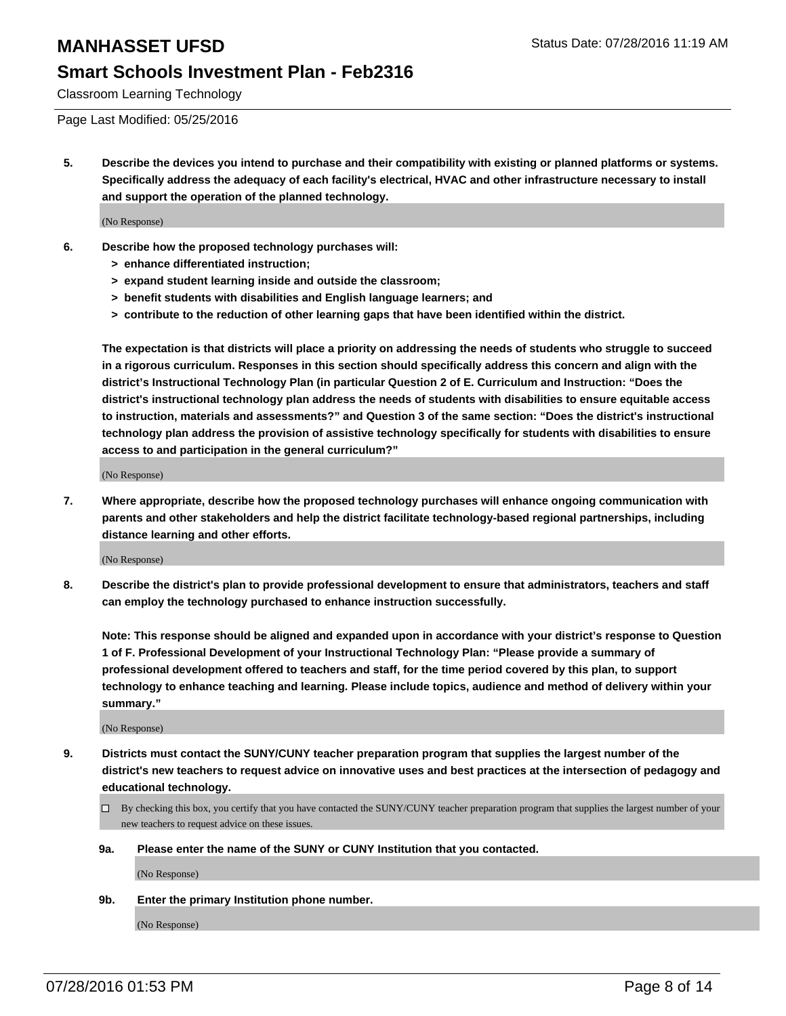## **Smart Schools Investment Plan - Feb2316**

Classroom Learning Technology

Page Last Modified: 05/25/2016

**5. Describe the devices you intend to purchase and their compatibility with existing or planned platforms or systems. Specifically address the adequacy of each facility's electrical, HVAC and other infrastructure necessary to install and support the operation of the planned technology.**

(No Response)

- **6. Describe how the proposed technology purchases will:**
	- **> enhance differentiated instruction;**
	- **> expand student learning inside and outside the classroom;**
	- **> benefit students with disabilities and English language learners; and**
	- **> contribute to the reduction of other learning gaps that have been identified within the district.**

**The expectation is that districts will place a priority on addressing the needs of students who struggle to succeed in a rigorous curriculum. Responses in this section should specifically address this concern and align with the district's Instructional Technology Plan (in particular Question 2 of E. Curriculum and Instruction: "Does the district's instructional technology plan address the needs of students with disabilities to ensure equitable access to instruction, materials and assessments?" and Question 3 of the same section: "Does the district's instructional technology plan address the provision of assistive technology specifically for students with disabilities to ensure access to and participation in the general curriculum?"**

(No Response)

**7. Where appropriate, describe how the proposed technology purchases will enhance ongoing communication with parents and other stakeholders and help the district facilitate technology-based regional partnerships, including distance learning and other efforts.**

(No Response)

**8. Describe the district's plan to provide professional development to ensure that administrators, teachers and staff can employ the technology purchased to enhance instruction successfully.**

**Note: This response should be aligned and expanded upon in accordance with your district's response to Question 1 of F. Professional Development of your Instructional Technology Plan: "Please provide a summary of professional development offered to teachers and staff, for the time period covered by this plan, to support technology to enhance teaching and learning. Please include topics, audience and method of delivery within your summary."**

(No Response)

- **9. Districts must contact the SUNY/CUNY teacher preparation program that supplies the largest number of the district's new teachers to request advice on innovative uses and best practices at the intersection of pedagogy and educational technology.**
	- $\square$  By checking this box, you certify that you have contacted the SUNY/CUNY teacher preparation program that supplies the largest number of your new teachers to request advice on these issues.
	- **9a. Please enter the name of the SUNY or CUNY Institution that you contacted.**

(No Response)

**9b. Enter the primary Institution phone number.**

(No Response)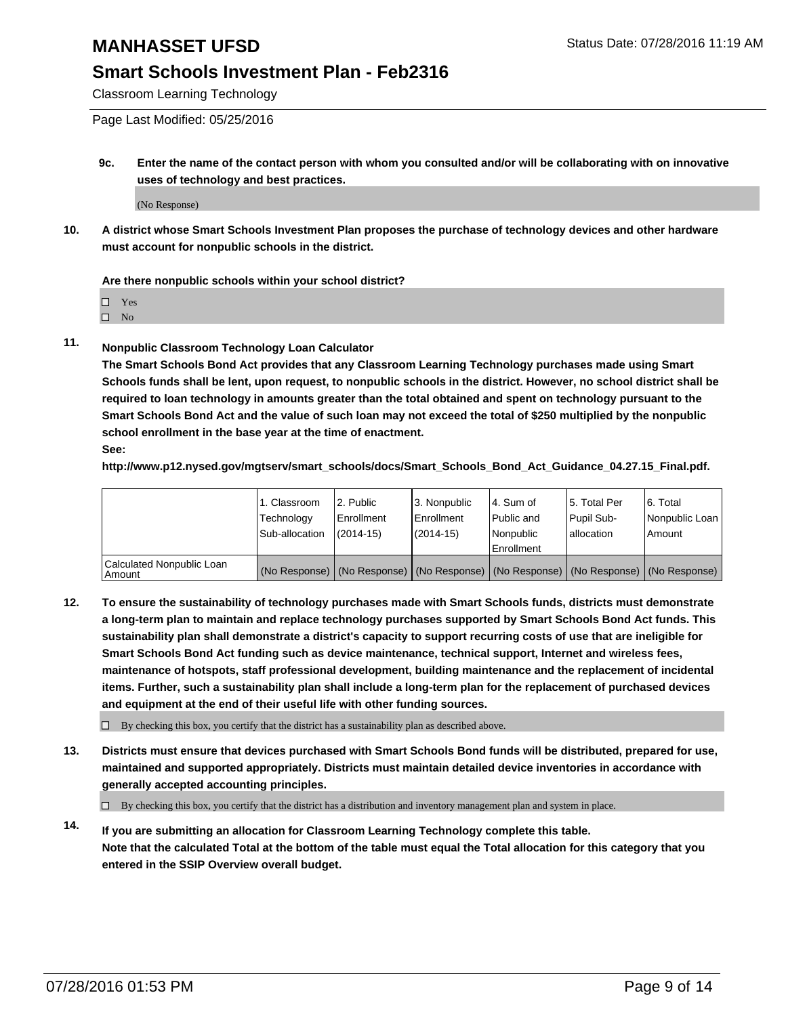## **Smart Schools Investment Plan - Feb2316**

Classroom Learning Technology

Page Last Modified: 05/25/2016

**9c. Enter the name of the contact person with whom you consulted and/or will be collaborating with on innovative uses of technology and best practices.**

(No Response)

**10. A district whose Smart Schools Investment Plan proposes the purchase of technology devices and other hardware must account for nonpublic schools in the district.**

#### **Are there nonpublic schools within your school district?**

□ Yes

 $\hfill \square$  No

**11. Nonpublic Classroom Technology Loan Calculator**

**The Smart Schools Bond Act provides that any Classroom Learning Technology purchases made using Smart Schools funds shall be lent, upon request, to nonpublic schools in the district. However, no school district shall be required to loan technology in amounts greater than the total obtained and spent on technology pursuant to the Smart Schools Bond Act and the value of such loan may not exceed the total of \$250 multiplied by the nonpublic school enrollment in the base year at the time of enactment. See:**

**http://www.p12.nysed.gov/mgtserv/smart\_schools/docs/Smart\_Schools\_Bond\_Act\_Guidance\_04.27.15\_Final.pdf.**

|                                         | 1. Classroom<br>Technology | 2. Public<br><b>Enrollment</b> | 3. Nonpublic<br>Enrollment                                                                    | l 4. Sum of<br>l Public and | 5. Total Per<br>Pupil Sub- | 6. Total<br>Nonpublic Loan |
|-----------------------------------------|----------------------------|--------------------------------|-----------------------------------------------------------------------------------------------|-----------------------------|----------------------------|----------------------------|
|                                         | Sub-allocation             | $(2014 - 15)$                  | $(2014 - 15)$                                                                                 | Nonpublic<br>Enrollment     | lallocation                | Amount                     |
| Calculated Nonpublic Loan<br>l Amount i |                            |                                | (No Response)   (No Response)   (No Response)   (No Response)   (No Response)   (No Response) |                             |                            |                            |

**12. To ensure the sustainability of technology purchases made with Smart Schools funds, districts must demonstrate a long-term plan to maintain and replace technology purchases supported by Smart Schools Bond Act funds. This sustainability plan shall demonstrate a district's capacity to support recurring costs of use that are ineligible for Smart Schools Bond Act funding such as device maintenance, technical support, Internet and wireless fees, maintenance of hotspots, staff professional development, building maintenance and the replacement of incidental items. Further, such a sustainability plan shall include a long-term plan for the replacement of purchased devices and equipment at the end of their useful life with other funding sources.**

 $\square$  By checking this box, you certify that the district has a sustainability plan as described above.

**13. Districts must ensure that devices purchased with Smart Schools Bond funds will be distributed, prepared for use, maintained and supported appropriately. Districts must maintain detailed device inventories in accordance with generally accepted accounting principles.**

 $\Box$  By checking this box, you certify that the district has a distribution and inventory management plan and system in place.

**14. If you are submitting an allocation for Classroom Learning Technology complete this table. Note that the calculated Total at the bottom of the table must equal the Total allocation for this category that you entered in the SSIP Overview overall budget.**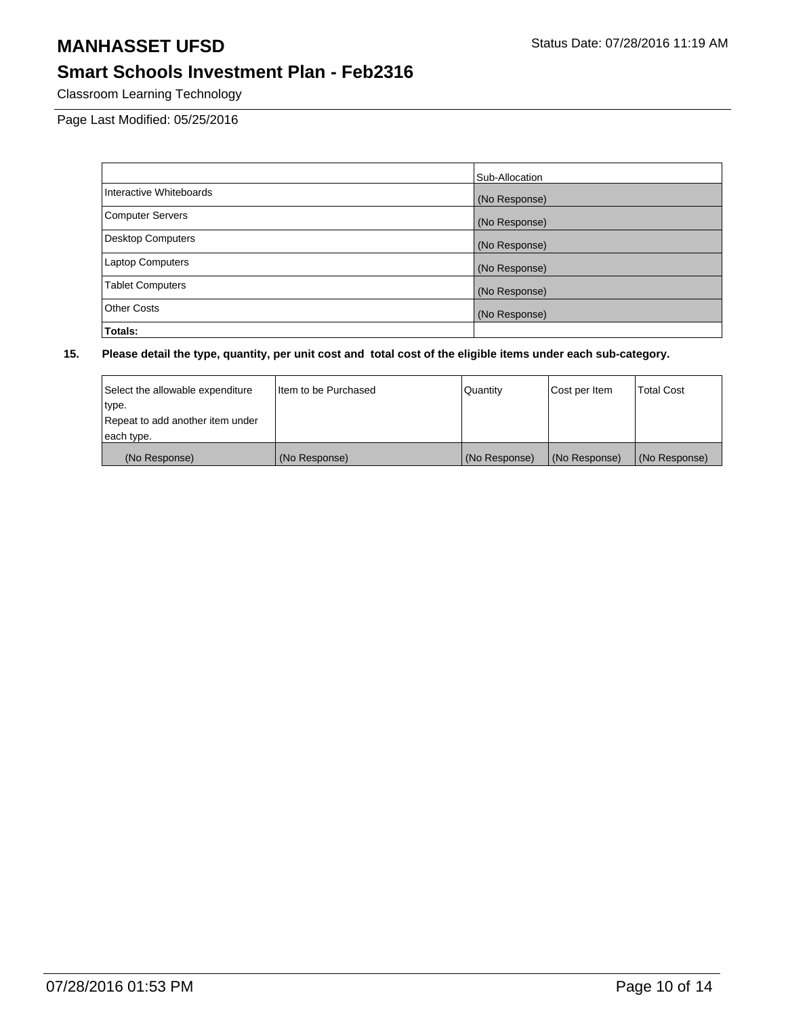# **Smart Schools Investment Plan - Feb2316**

Classroom Learning Technology

Page Last Modified: 05/25/2016

|                          | Sub-Allocation |
|--------------------------|----------------|
| Interactive Whiteboards  | (No Response)  |
| <b>Computer Servers</b>  | (No Response)  |
| <b>Desktop Computers</b> | (No Response)  |
| <b>Laptop Computers</b>  | (No Response)  |
| <b>Tablet Computers</b>  | (No Response)  |
| <b>Other Costs</b>       | (No Response)  |
| Totals:                  |                |

| Select the allowable expenditure | I Item to be Purchased | Quantity      | Cost per Item | <b>Total Cost</b> |
|----------------------------------|------------------------|---------------|---------------|-------------------|
| type.                            |                        |               |               |                   |
| Repeat to add another item under |                        |               |               |                   |
| each type.                       |                        |               |               |                   |
| (No Response)                    | (No Response)          | (No Response) | (No Response) | (No Response)     |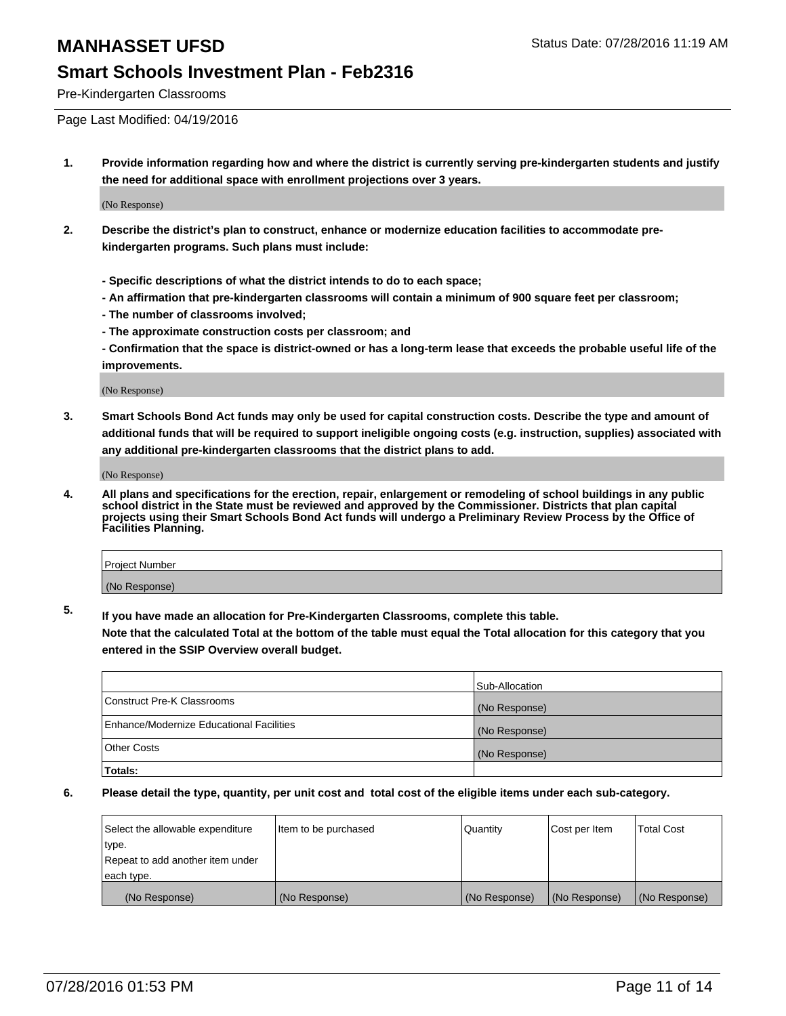#### **Smart Schools Investment Plan - Feb2316**

Pre-Kindergarten Classrooms

Page Last Modified: 04/19/2016

**1. Provide information regarding how and where the district is currently serving pre-kindergarten students and justify the need for additional space with enrollment projections over 3 years.**

(No Response)

- **2. Describe the district's plan to construct, enhance or modernize education facilities to accommodate prekindergarten programs. Such plans must include:**
	- **Specific descriptions of what the district intends to do to each space;**
	- **An affirmation that pre-kindergarten classrooms will contain a minimum of 900 square feet per classroom;**
	- **The number of classrooms involved;**
	- **The approximate construction costs per classroom; and**
	- **Confirmation that the space is district-owned or has a long-term lease that exceeds the probable useful life of the improvements.**

(No Response)

**3. Smart Schools Bond Act funds may only be used for capital construction costs. Describe the type and amount of additional funds that will be required to support ineligible ongoing costs (e.g. instruction, supplies) associated with any additional pre-kindergarten classrooms that the district plans to add.**

(No Response)

**4. All plans and specifications for the erection, repair, enlargement or remodeling of school buildings in any public school district in the State must be reviewed and approved by the Commissioner. Districts that plan capital projects using their Smart Schools Bond Act funds will undergo a Preliminary Review Process by the Office of Facilities Planning.**

| Project Number |  |
|----------------|--|
| (No Response)  |  |

**5. If you have made an allocation for Pre-Kindergarten Classrooms, complete this table.**

**Note that the calculated Total at the bottom of the table must equal the Total allocation for this category that you entered in the SSIP Overview overall budget.**

|                                          | Sub-Allocation |
|------------------------------------------|----------------|
| Construct Pre-K Classrooms               | (No Response)  |
| Enhance/Modernize Educational Facilities | (No Response)  |
| <b>Other Costs</b>                       | (No Response)  |
| Totals:                                  |                |

| Select the allowable expenditure | litem to be purchased | Quantity      | Cost per Item | <b>Total Cost</b> |
|----------------------------------|-----------------------|---------------|---------------|-------------------|
| type.                            |                       |               |               |                   |
| Repeat to add another item under |                       |               |               |                   |
| each type.                       |                       |               |               |                   |
| (No Response)                    | (No Response)         | (No Response) | (No Response) | (No Response)     |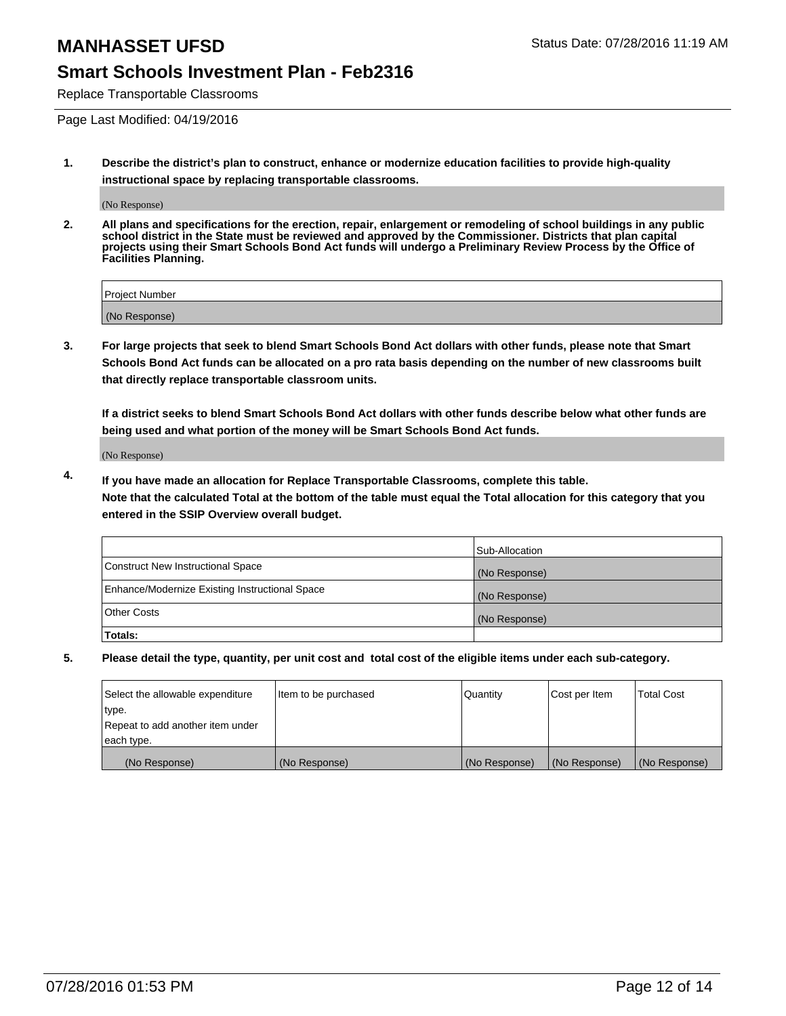## **Smart Schools Investment Plan - Feb2316**

Replace Transportable Classrooms

Page Last Modified: 04/19/2016

**1. Describe the district's plan to construct, enhance or modernize education facilities to provide high-quality instructional space by replacing transportable classrooms.**

(No Response)

**2. All plans and specifications for the erection, repair, enlargement or remodeling of school buildings in any public school district in the State must be reviewed and approved by the Commissioner. Districts that plan capital projects using their Smart Schools Bond Act funds will undergo a Preliminary Review Process by the Office of Facilities Planning.**

| <b>Project Number</b> |  |
|-----------------------|--|
| (No Response)         |  |

**3. For large projects that seek to blend Smart Schools Bond Act dollars with other funds, please note that Smart Schools Bond Act funds can be allocated on a pro rata basis depending on the number of new classrooms built that directly replace transportable classroom units.**

**If a district seeks to blend Smart Schools Bond Act dollars with other funds describe below what other funds are being used and what portion of the money will be Smart Schools Bond Act funds.**

(No Response)

**4. If you have made an allocation for Replace Transportable Classrooms, complete this table. Note that the calculated Total at the bottom of the table must equal the Total allocation for this category that you entered in the SSIP Overview overall budget.**

|                                                | Sub-Allocation |
|------------------------------------------------|----------------|
| Construct New Instructional Space              | (No Response)  |
| Enhance/Modernize Existing Instructional Space | (No Response)  |
| Other Costs                                    | (No Response)  |
| Totals:                                        |                |

| Select the allowable expenditure | litem to be purchased | Quantity      | Cost per Item | <b>Total Cost</b> |
|----------------------------------|-----------------------|---------------|---------------|-------------------|
| type.                            |                       |               |               |                   |
| Repeat to add another item under |                       |               |               |                   |
| each type.                       |                       |               |               |                   |
| (No Response)                    | (No Response)         | (No Response) | (No Response) | (No Response)     |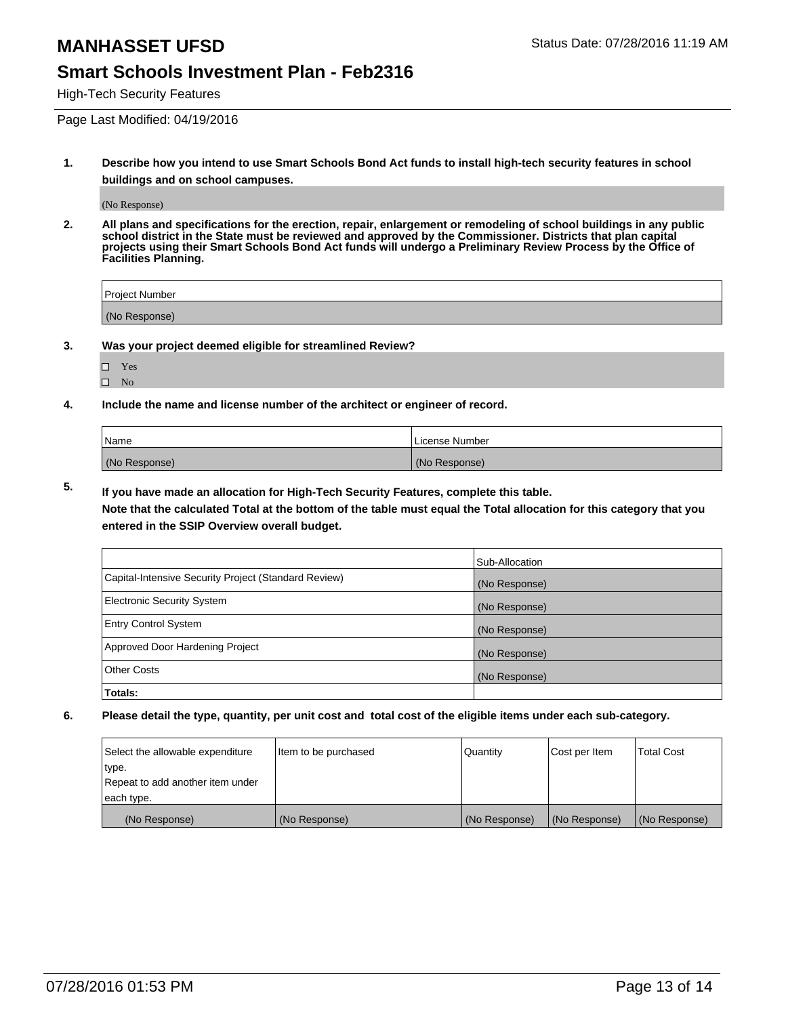#### **Smart Schools Investment Plan - Feb2316**

High-Tech Security Features

Page Last Modified: 04/19/2016

**1. Describe how you intend to use Smart Schools Bond Act funds to install high-tech security features in school buildings and on school campuses.**

(No Response)

**2. All plans and specifications for the erection, repair, enlargement or remodeling of school buildings in any public school district in the State must be reviewed and approved by the Commissioner. Districts that plan capital projects using their Smart Schools Bond Act funds will undergo a Preliminary Review Process by the Office of Facilities Planning.** 

| Project Number |  |
|----------------|--|
| (No Response)  |  |

**3. Was your project deemed eligible for streamlined Review?**

| П | Yes |  |
|---|-----|--|
| П | Nο  |  |

**4. Include the name and license number of the architect or engineer of record.**

| Name          | License Number |
|---------------|----------------|
| (No Response) | (No Response)  |

**5. If you have made an allocation for High-Tech Security Features, complete this table.**

**Note that the calculated Total at the bottom of the table must equal the Total allocation for this category that you entered in the SSIP Overview overall budget.**

|                                                      | Sub-Allocation |
|------------------------------------------------------|----------------|
| Capital-Intensive Security Project (Standard Review) | (No Response)  |
| <b>Electronic Security System</b>                    | (No Response)  |
| <b>Entry Control System</b>                          | (No Response)  |
| Approved Door Hardening Project                      | (No Response)  |
| <b>Other Costs</b>                                   | (No Response)  |
| Totals:                                              |                |

| Select the allowable expenditure | litem to be purchased | Quantity      | Cost per Item | <b>Total Cost</b> |
|----------------------------------|-----------------------|---------------|---------------|-------------------|
| type.                            |                       |               |               |                   |
| Repeat to add another item under |                       |               |               |                   |
| each type.                       |                       |               |               |                   |
| (No Response)                    | (No Response)         | (No Response) | (No Response) | (No Response)     |